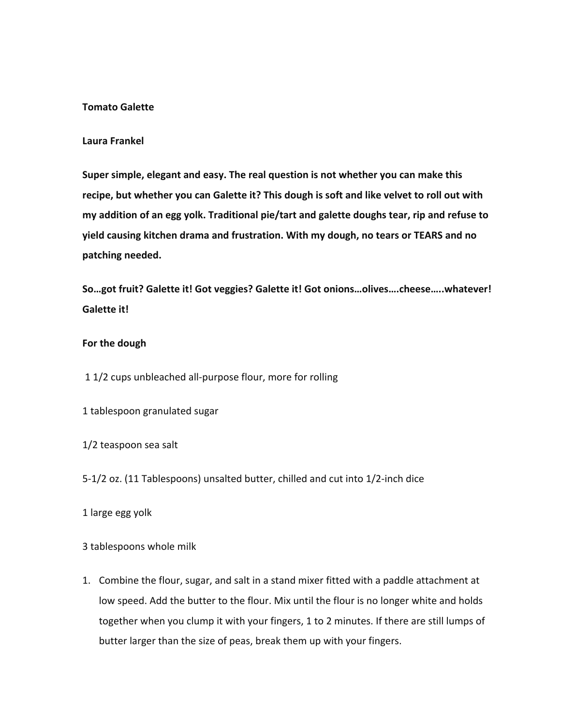### **Tomato Galette**

#### **Laura Frankel**

**Super simple, elegant and easy. The real question is not whether you can make this recipe, but whether you can Galette it? This dough is soft and like velvet to roll out with my addition of an egg yolk. Traditional pie/tart and galette doughs tear, rip and refuse to yield causing kitchen drama and frustration. With my dough, no tears or TEARS and no patching needed.** 

**So…got fruit? Galette it! Got veggies? Galette it! Got onions…olives….cheese…..whatever! Galette it!** 

#### **For the dough**

1 1/2 cups unbleached all-purpose flour, more for rolling

1 tablespoon granulated sugar

1/2 teaspoon sea salt

5-1/2 oz. (11 Tablespoons) unsalted butter, chilled and cut into 1/2-inch dice

1 large egg yolk

3 tablespoons whole milk

1. Combine the flour, sugar, and salt in a stand mixer fitted with a paddle attachment at low speed. Add the butter to the flour. Mix until the flour is no longer white and holds together when you clump it with your fingers, 1 to 2 minutes. If there are still lumps of butter larger than the size of peas, break them up with your fingers.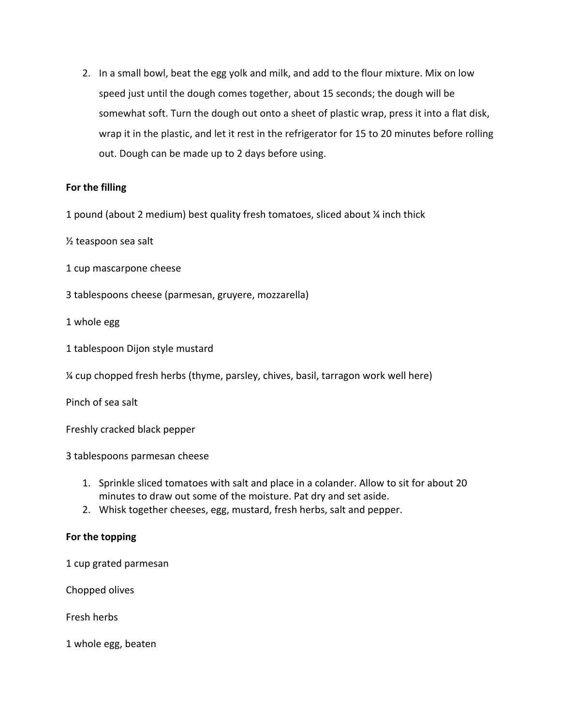2. In a small bowl, beat the egg yolk and milk, and add to the flour mixture. Mix on low speed just until the dough comes together, about 15 seconds; the dough will be somewhat soft. Turn the dough out onto a sheet of plastic wrap, press it into a flat disk, wrap it in the plastic, and let it rest in the refrigerator for 15 to 20 minutes before rolling out. Dough can be made up to 2 days before using.

## **For the filling**

1 pound (about 2 medium) best quality fresh tomatoes, sliced about ¼ inch thick

½ teaspoon sea salt

- 1 cup mascarpone cheese
- 3 tablespoons cheese (parmesan, gruyere, mozzarella)

1 whole egg

- 1 tablespoon Dijon style mustard
- ¼ cup chopped fresh herbs (thyme, parsley, chives, basil, tarragon work well here)

Pinch of sea salt

Freshly cracked black pepper

3 tablespoons parmesan cheese

- 1. Sprinkle sliced tomatoes with salt and place in a colander. Allow to sit for about 20 minutes to draw out some of the moisture. Pat dry and set aside.
- 2. Whisk together cheeses, egg, mustard, fresh herbs, salt and pepper.

### **For the topping**

1 cup grated parmesan

Chopped olives

Fresh herbs

1 whole egg, beaten